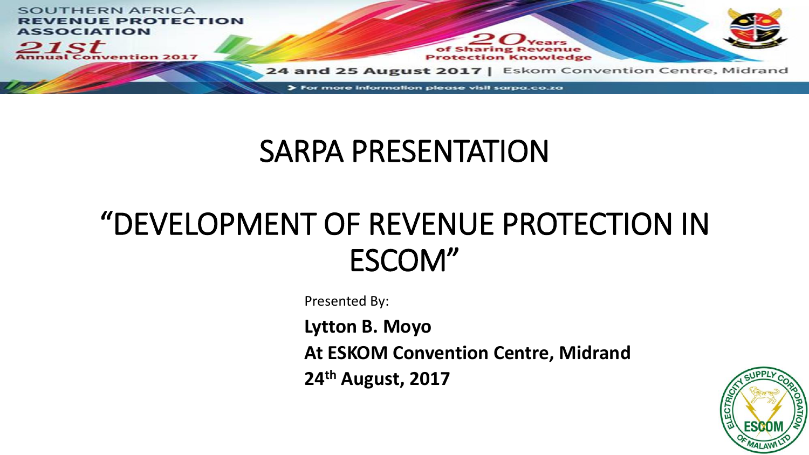

#### SARPA PRESENTATION

#### "DEVELOPMENT OF REVENUE PROTECTION IN ESCOM"

Presented By:

**Lytton B. Moyo**

**At ESKOM Convention Centre, Midrand**

**24th August, 2017**

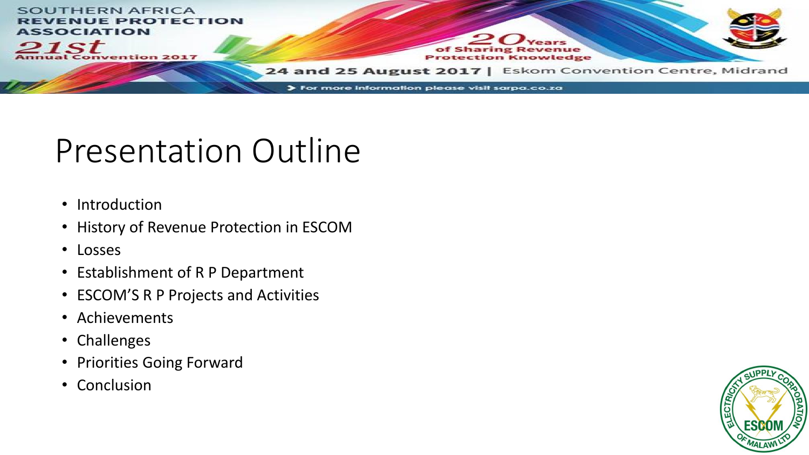

### Presentation Outline

- Introduction
- History of Revenue Protection in ESCOM
- Losses
- Establishment of R P Department
- ESCOM'S R P Projects and Activities
- Achievements
- Challenges
- Priorities Going Forward
- Conclusion

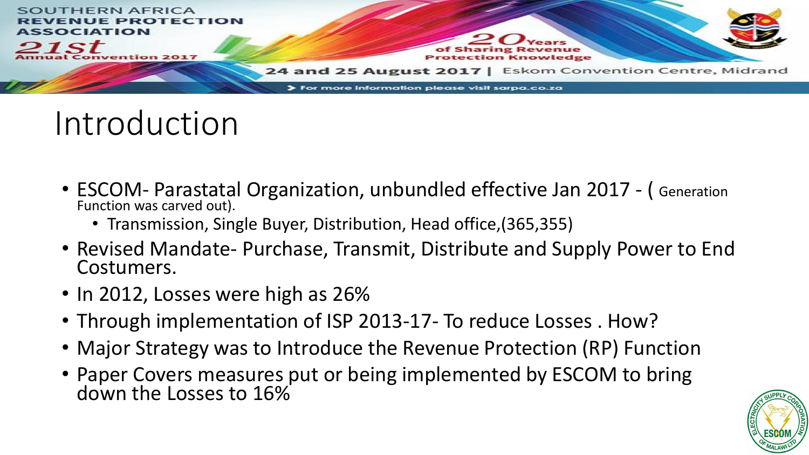

## Introduction

- ESCOM- Parastatal Organization, unbundled effective Jan 2017 ( Generation Function was carved out).
	- Transmission, Single Buyer, Distribution, Head office,(365,355)
- Revised Mandate- Purchase, Transmit, Distribute and Supply Power to End Costumers.
- In 2012, Losses were high as 26%
- Through implementation of ISP 2013-17- To reduce Losses . How?
- Major Strategy was to Introduce the Revenue Protection (RP) Function
- Paper Covers measures put or being implemented by ESCOM to bring down the Losses to 16%

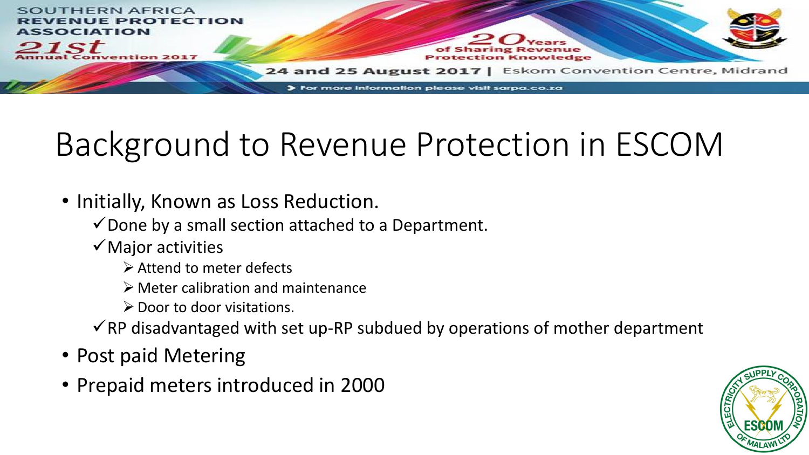

# Background to Revenue Protection in ESCOM

- Initially, Known as Loss Reduction.
	- $\checkmark$  Done by a small section attached to a Department.
	- $\checkmark$  Major activities
		- ➢Attend to meter defects
		- ➢ Meter calibration and maintenance
		- $\triangleright$  Door to door visitations.
	- $\checkmark$ RP disadvantaged with set up-RP subdued by operations of mother department
- Post paid Metering
- Prepaid meters introduced in 2000

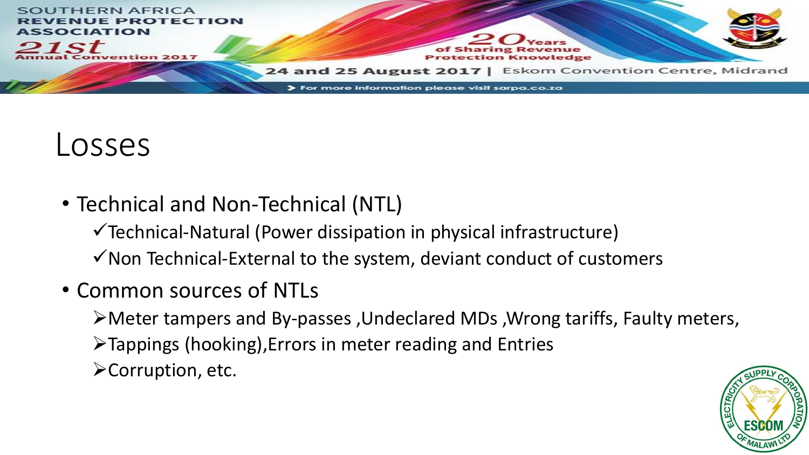

#### Losses

• Technical and Non-Technical (NTL)

✓Technical-Natural (Power dissipation in physical infrastructure)  $\checkmark$  Non Technical-External to the system, deviant conduct of customers

• Common sources of NTLs

➢Meter tampers and By-passes ,Undeclared MDs ,Wrong tariffs, Faulty meters,

- ➢Tappings (hooking),Errors in meter reading and Entries
- ➢Corruption, etc.

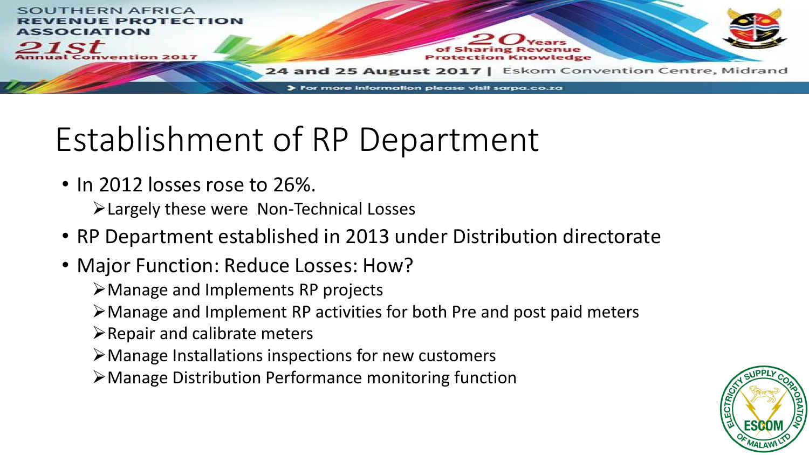

# Establishment of RP Department

• In 2012 losses rose to 26%.

➢Largely these were Non-Technical Losses

- RP Department established in 2013 under Distribution directorate
- Major Function: Reduce Losses: How?

➢Manage and Implements RP projects

- ➢Manage and Implement RP activities for both Pre and post paid meters
- $\triangleright$  Repair and calibrate meters
- ➢Manage Installations inspections for new customers
- ➢Manage Distribution Performance monitoring function

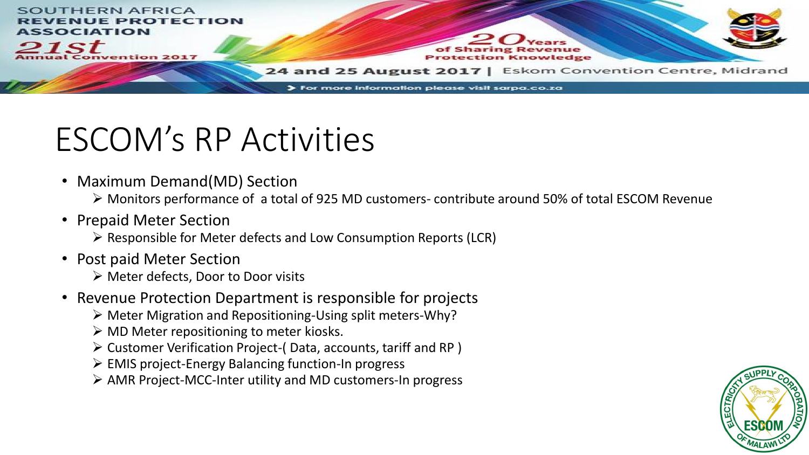

## ESCOM's RP Activities

• Maximum Demand(MD) Section

➢ Monitors performance of a total of 925 MD customers- contribute around 50% of total ESCOM Revenue

• Prepaid Meter Section

➢ Responsible for Meter defects and Low Consumption Reports (LCR)

- Post paid Meter Section
	- ➢ Meter defects, Door to Door visits
- Revenue Protection Department is responsible for projects
	- ➢ Meter Migration and Repositioning-Using split meters-Why?
	- $\triangleright$  MD Meter repositioning to meter kiosks.
	- ➢ Customer Verification Project-( Data, accounts, tariff and RP )
	- ➢ EMIS project-Energy Balancing function-In progress
	- ➢ AMR Project-MCC-Inter utility and MD customers-In progress

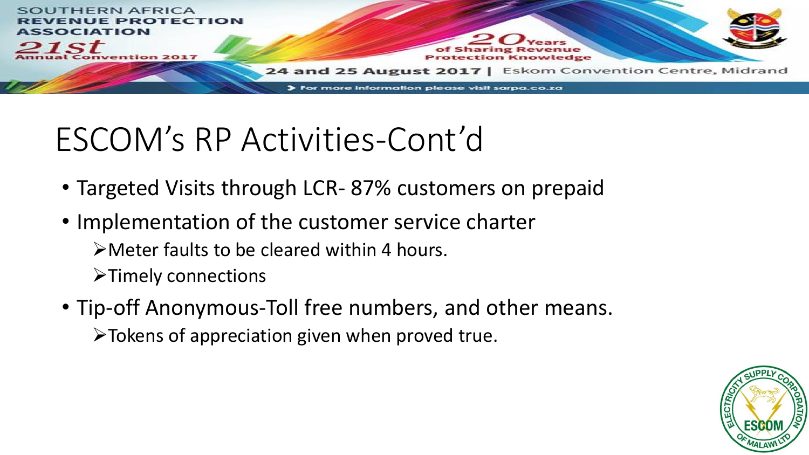

# ESCOM's RP Activities-Cont'd

- Targeted Visits through LCR- 87% customers on prepaid
- Implementation of the customer service charter ➢Meter faults to be cleared within 4 hours. ➢Timely connections
- Tip-off Anonymous-Toll free numbers, and other means. ➢Tokens of appreciation given when proved true.

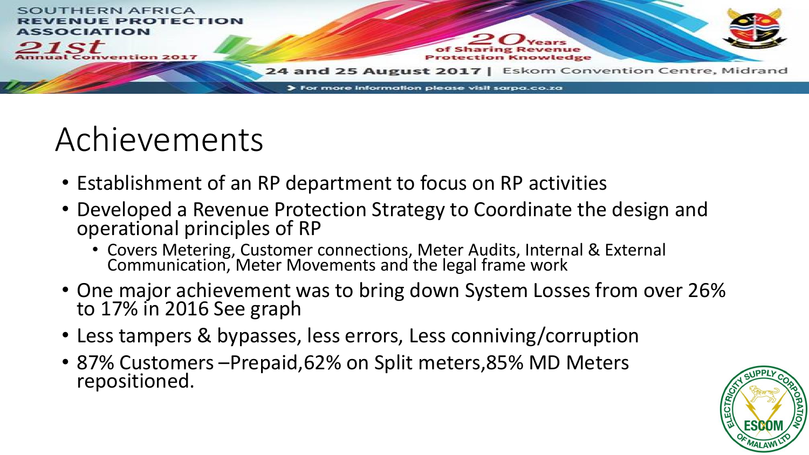

## Achievements

- Establishment of an RP department to focus on RP activities
- Developed a Revenue Protection Strategy to Coordinate the design and operational principles of RP
	- Covers Metering, Customer connections, Meter Audits, Internal & External Communication, Meter Movements and the legal frame work
- One major achievement was to bring down System Losses from over 26% to 17% in 2016 See graph
- Less tampers & bypasses, less errors, Less conniving/corruption
- 87% Customers –Prepaid,62% on Split meters,85% MD Meters repositioned.

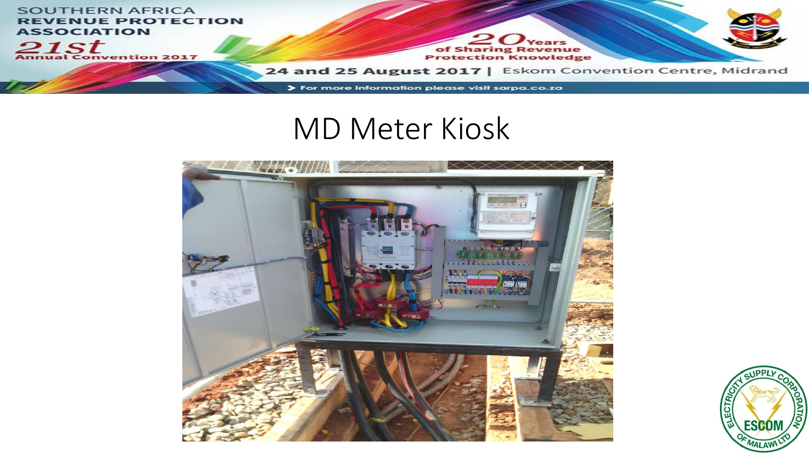

#### MD Meter Kiosk



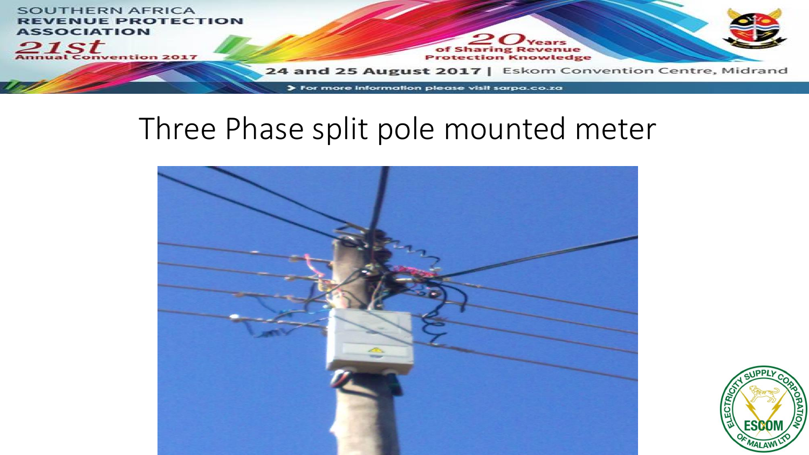

#### Three Phase split pole mounted meter



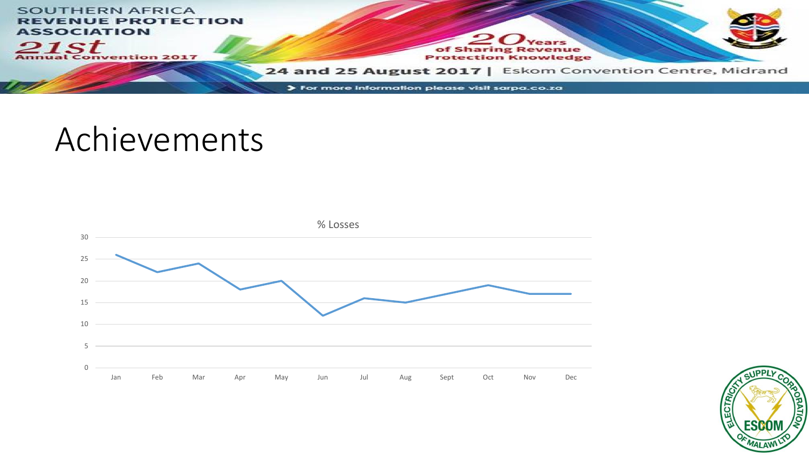

#### Achievements



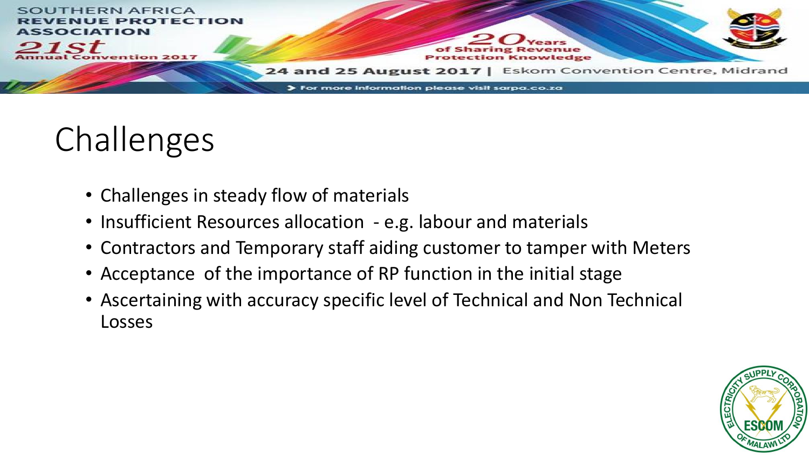

# Challenges

- Challenges in steady flow of materials
- Insufficient Resources allocation e.g. labour and materials
- Contractors and Temporary staff aiding customer to tamper with Meters
- Acceptance of the importance of RP function in the initial stage
- Ascertaining with accuracy specific level of Technical and Non Technical Losses

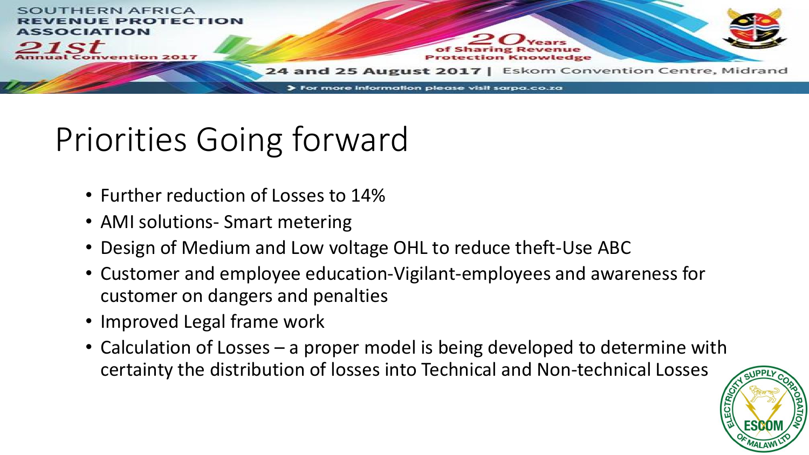

# Priorities Going forward

- Further reduction of Losses to 14%
- AMI solutions- Smart metering
- Design of Medium and Low voltage OHL to reduce theft-Use ABC
- Customer and employee education-Vigilant-employees and awareness for customer on dangers and penalties
- Improved Legal frame work
- Calculation of Losses a proper model is being developed to determine with certainty the distribution of losses into Technical and Non-technical Losses

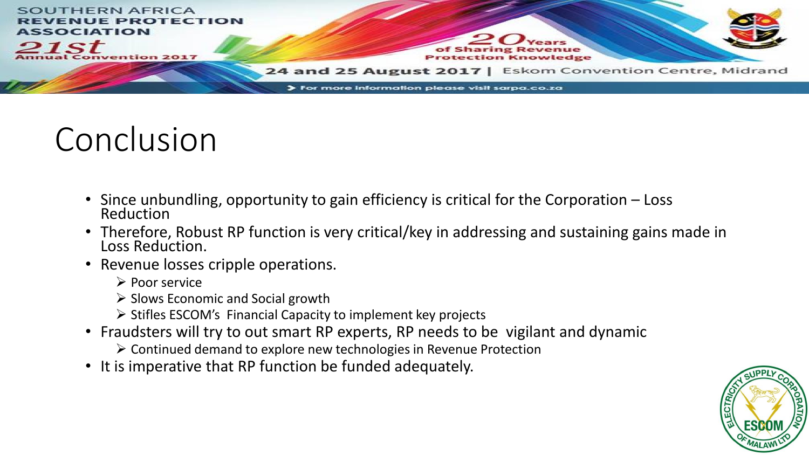

## Conclusion

- Since unbundling, opportunity to gain efficiency is critical for the Corporation Loss Reduction
- Therefore, Robust RP function is very critical/key in addressing and sustaining gains made in Loss Reduction.
- Revenue losses cripple operations.
	- ➢ Poor service
	- ➢ Slows Economic and Social growth
	- ➢ Stifles ESCOM's Financial Capacity to implement key projects
- Fraudsters will try to out smart RP experts, RP needs to be vigilant and dynamic
	- ➢ Continued demand to explore new technologies in Revenue Protection
- It is imperative that RP function be funded adequately.